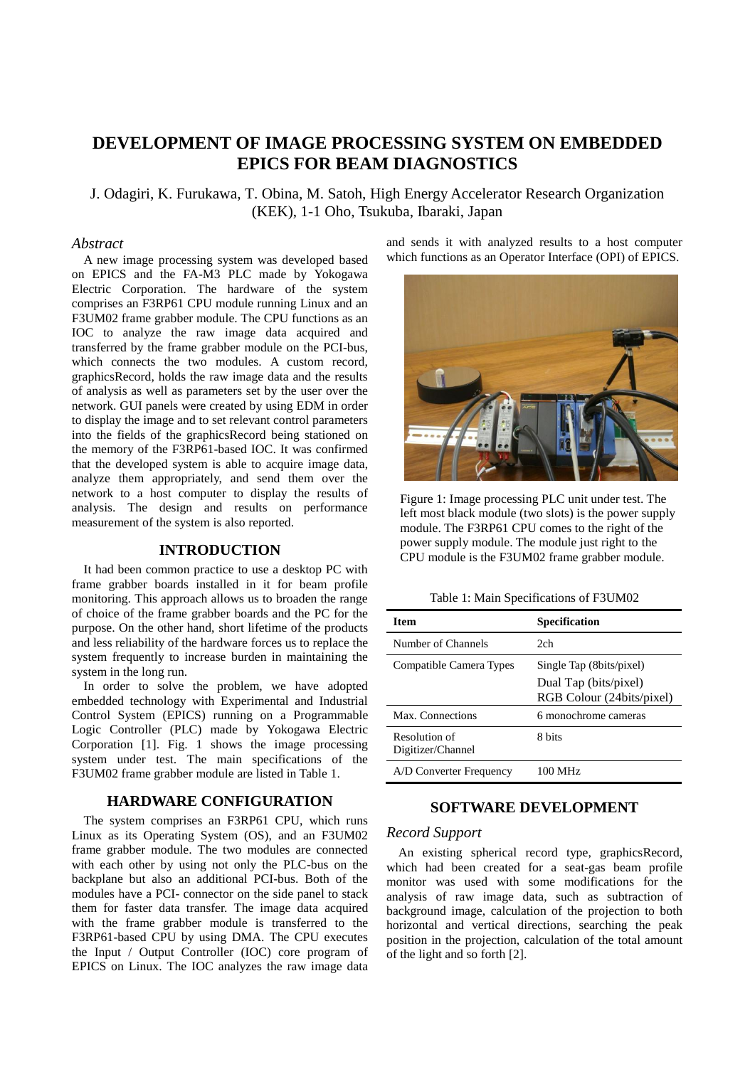# **DEVELOPMENT OF IMAGE PROCESSING SYSTEM ON EMBEDDED EPICS FOR BEAM DIAGNOSTICS**

J. Odagiri, K. Furukawa, T. Obina, M. Satoh, High Energy Accelerator Research Organization (KEK), 1-1 Oho, Tsukuba, Ibaraki, Japan

### *Abstract*

A new image processing system was developed based on EPICS and the FA-M3 PLC made by Yokogawa Electric Corporation. The hardware of the system comprises an F3RP61 CPU module running Linux and an F3UM02 frame grabber module. The CPU functions as an IOC to analyze the raw image data acquired and transferred by the frame grabber module on the PCI-bus, which connects the two modules. A custom record, graphicsRecord, holds the raw image data and the results of analysis as well as parameters set by the user over the network. GUI panels were created by using EDM in order to display the image and to set relevant control parameters into the fields of the graphicsRecord being stationed on the memory of the F3RP61-based IOC. It was confirmed that the developed system is able to acquire image data, analyze them appropriately, and send them over the network to a host computer to display the results of analysis. The design and results on performance measurement of the system is also reported.

#### **INTRODUCTION**

It had been common practice to use a desktop PC with frame grabber boards installed in it for beam profile monitoring. This approach allows us to broaden the range of choice of the frame grabber boards and the PC for the purpose. On the other hand, short lifetime of the products and less reliability of the hardware forces us to replace the system frequently to increase burden in maintaining the system in the long run.

In order to solve the problem, we have adopted embedded technology with Experimental and Industrial Control System (EPICS) running on a Programmable Logic Controller (PLC) made by Yokogawa Electric Corporation [1]. Fig. 1 shows the image processing system under test. The main specifications of the F3UM02 frame grabber module are listed in Table 1.

# **HARDWARE CONFIGURATION**

The system comprises an F3RP61 CPU, which runs Linux as its Operating System (OS), and an F3UM02 frame grabber module. The two modules are connected with each other by using not only the PLC-bus on the backplane but also an additional PCI-bus. Both of the modules have a PCI- connector on the side panel to stack them for faster data transfer. The image data acquired with the frame grabber module is transferred to the F3RP61-based CPU by using DMA. The CPU executes the Input / Output Controller (IOC) core program of EPICS on Linux. The IOC analyzes the raw image data and sends it with analyzed results to a host computer which functions as an Operator Interface (OPI) of EPICS.



Figure 1: Image processing PLC unit under test. The left most black module (two slots) is the power supply module. The F3RP61 CPU comes to the right of the power supply module. The module just right to the CPU module is the F3UM02 frame grabber module.

Table 1: Main Specifications of F3UM02

| <b>Item</b>                        | <b>Specification</b>                               |
|------------------------------------|----------------------------------------------------|
| Number of Channels                 | 2ch                                                |
| Compatible Camera Types            | Single Tap (8bits/pixel)                           |
|                                    | Dual Tap (bits/pixel)<br>RGB Colour (24bits/pixel) |
| Max. Connections                   | 6 monochrome cameras                               |
| Resolution of<br>Digitizer/Channel | 8 bits                                             |
| A/D Converter Frequency            | 100 MHz                                            |

# **SOFTWARE DEVELOPMENT**

### *Record Support*

An existing spherical record type, graphicsRecord, which had been created for a seat-gas beam profile monitor was used with some modifications for the analysis of raw image data, such as subtraction of background image, calculation of the projection to both horizontal and vertical directions, searching the peak position in the projection, calculation of the total amount of the light and so forth [2].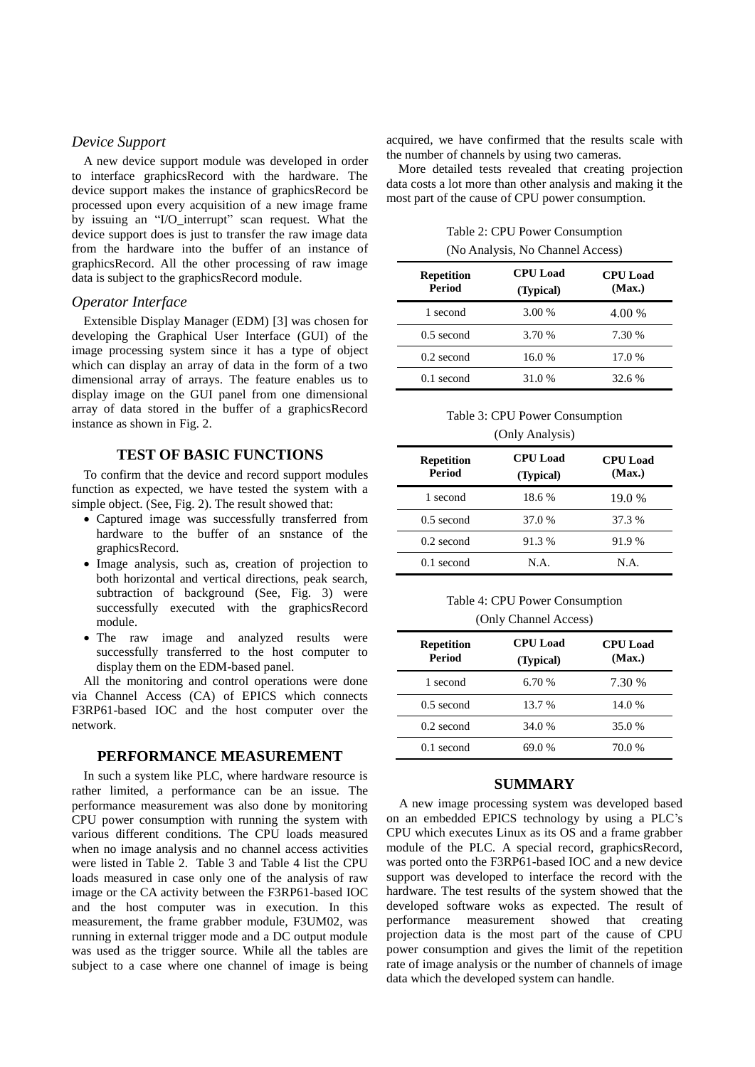#### *Device Support*

A new device support module was developed in order to interface graphicsRecord with the hardware. The device support makes the instance of graphicsRecord be processed upon every acquisition of a new image frame by issuing an "I/O\_interrupt" scan request. What the device support does is just to transfer the raw image data from the hardware into the buffer of an instance of graphicsRecord. All the other processing of raw image data is subject to the graphicsRecord module.

### *Operator Interface*

Extensible Display Manager (EDM) [3] was chosen for developing the Graphical User Interface (GUI) of the image processing system since it has a type of object which can display an array of data in the form of a two dimensional array of arrays. The feature enables us to display image on the GUI panel from one dimensional array of data stored in the buffer of a graphicsRecord instance as shown in Fig. 2.

#### **TEST OF BASIC FUNCTIONS**

To confirm that the device and record support modules function as expected, we have tested the system with a simple object. (See, Fig. 2). The result showed that:

- Captured image was successfully transferred from hardware to the buffer of an snstance of the graphicsRecord.
- Image analysis, such as, creation of projection to both horizontal and vertical directions, peak search, subtraction of background (See, Fig. 3) were successfully executed with the graphicsRecord module.
- The raw image and analyzed results were successfully transferred to the host computer to display them on the EDM-based panel.

All the monitoring and control operations were done via Channel Access (CA) of EPICS which connects F3RP61-based IOC and the host computer over the network.

#### **PERFORMANCE MEASUREMENT**

In such a system like PLC, where hardware resource is rather limited, a performance can be an issue. The performance measurement was also done by monitoring CPU power consumption with running the system with various different conditions. The CPU loads measured when no image analysis and no channel access activities were listed in Table 2. Table 3 and Table 4 list the CPU loads measured in case only one of the analysis of raw image or the CA activity between the F3RP61-based IOC and the host computer was in execution. In this measurement, the frame grabber module, F3UM02, was running in external trigger mode and a DC output module was used as the trigger source. While all the tables are subject to a case where one channel of image is being acquired, we have confirmed that the results scale with the number of channels by using two cameras.

More detailed tests revealed that creating projection data costs a lot more than other analysis and making it the most part of the cause of CPU power consumption.

Table 2: CPU Power Consumption (No Analysis, No Channel Access)

| <b>Repetition</b><br><b>Period</b> | <b>CPU</b> Load<br>(Typical) | <b>CPU</b> Load<br>(Max.) |
|------------------------------------|------------------------------|---------------------------|
| 1 second                           | 3.00 %                       | 4.00 %                    |
| $0.5$ second                       | 3.70 %                       | 7.30 %                    |
| $0.2$ second                       | 16.0 %                       | 17.0 %                    |
| $0.1$ second                       | 31.0 %                       | 32.6%                     |

Table 3: CPU Power Consumption

#### (Only Analysis)

| <b>Repetition</b><br><b>Period</b> | <b>CPU</b> Load<br>(Typical) | <b>CPU</b> Load<br>(Max.) |
|------------------------------------|------------------------------|---------------------------|
| 1 second                           | 18.6 %                       | 19.0 %                    |
| $0.5$ second                       | 37.0 %                       | 37.3 %                    |
| $0.2$ second                       | 91.3 %                       | 91.9 %                    |
| $0.1$ second                       | N.A.                         | N.A.                      |

Table 4: CPU Power Consumption (Only Channel Access)

| <b>Repetition</b><br><b>Period</b> | <b>CPU</b> Load<br>(Typical) | <b>CPU</b> Load<br>(Max.) |
|------------------------------------|------------------------------|---------------------------|
| 1 second                           | 6.70 %                       | 7.30 %                    |
| $0.5$ second                       | 13.7 %                       | 14.0 %                    |
| $0.2$ second                       | 34.0 %                       | 35.0 %                    |
| $0.1$ second                       | 69.0 %                       | 70.0 %                    |

#### **SUMMARY**

A new image processing system was developed based on an embedded EPICS technology by using a PLC's CPU which executes Linux as its OS and a frame grabber module of the PLC. A special record, graphicsRecord, was ported onto the F3RP61-based IOC and a new device support was developed to interface the record with the hardware. The test results of the system showed that the developed software woks as expected. The result of performance measurement showed that creating projection data is the most part of the cause of CPU power consumption and gives the limit of the repetition rate of image analysis or the number of channels of image data which the developed system can handle.